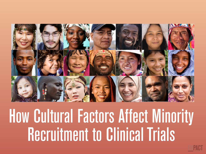

## How Cultural Factors Affect Minority Recruitment to Clinical Trials

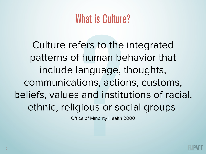### What is Culture?

Express to the f human be danguage,<br>tions, actic<br>ions, actic<br>gious or sc<br>fice of Minority Health :<br>fice of Minority Health : Culture refers to the integrated patterns of human behavior that include language, thoughts, communications, actions, customs, beliefs, values and institutions of racial, ethnic, religious or social groups.

Office of Minority Health 2000

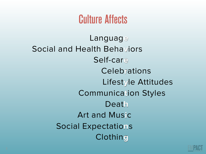### Culture Affects

Celeb<sub>rations</sub> Clothing **g**Communication Styles Death **h** Language<br>Ilth Behav Lifestyle Attitudes Art and Music **i** Self-care Social Expectations **n** Social and Health Behaviors

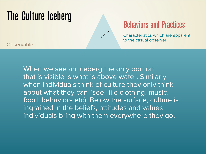### The Culture Iceberg

#### Behaviors and Practices

Characteristics which are apparent to the casual observer

When we see an iceberg the only portion that is visible is what is above water. Similarly when individuals think of culture they only think about what they can "see" (i.e clothing, music, food, behaviors etc). Below the surface, culture is ingrained in the beliefs, attitudes and values individuals bring with them everywhere they go.

**Observable**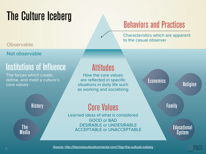### The Culture Iceberg

#### **Observable**

#### Not observable

#### Institutions of Influence

The forces which create, define, and mold a culture's core values

**History** 



#### Behaviors and Practices

Characteristics which are apparent to the casual observer

**EMPACT** 



[Source: http://thecrossculturalconnector.com/?tag=the-cultural-iceberg](http://thecrossculturalconnector.com/?tag=the-cultural-iceberg)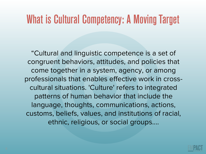#### What is Cultural Competency: A Moving Target

"Cultural and linguistic competence is a set of congruent behaviors, attitudes, and policies that come together in a system, agency, or among professionals that enables effective work in crosscultural situations. 'Culture' refers to integrated patterns of human behavior that include the language, thoughts, communications, actions, customs, beliefs, values, and institutions of racial, ethnic, religious, or social groups....

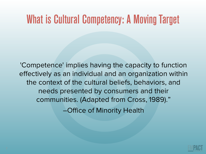### What is Cultural Competency: A Moving Target

'Competence' implies having the capacity to function effectively as an individual and an organization within the context of the cultural beliefs, behaviors, and needs presented by consumers and their communities. (Adapted from Cross, 1989)." –Office of Minority Health

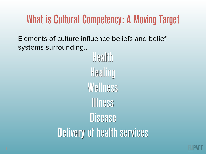### What is Cultural Competency: A Moving Target

Elements of culture influence beliefs and belief systems surrounding…

> **Illness** Delivery of health services Health **Disease** Wellness Healing

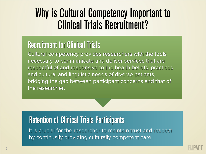#### Why is Cultural Competency Important to Clinical Trials Recruitment?

#### Recruitment for Clinical Trials

Cultural competency provides researchers with the tools necessary to communicate and deliver services that are respectful of and responsive to the health beliefs, practices and cultural and linguistic needs of diverse patients, bridging the gap between participant concerns and that of the researcher.

#### Retention of Clinical Trials Participants

It is crucial for the researcher to maintain trust and respect by continually providing culturally competent care.

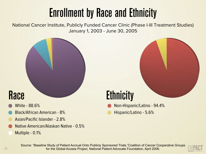### Enrollment by Race and Ethnicity

National Cancer Institute, Publicly Funded Cancer Clinic (Phase I-III Treatment Studies) January 1, 2003 - June 30, 2005



#### **Race**

- White 88.6%
- Black/African American 8%
- Asian/Pacific Islander 2.8%
- Native American/Alaskan Native 0.5%
- Multiple 0.1%

### **Ethnicity**

- Non-Hispanic/Latino 94.4%
- Hispanic/Latino 5.6%

Source: "Baseline Study of Patient Accrual Onto Publicly Sponsored Trials,"Coalition of Cancer Cooperative Groups for the Global Access Project, National Patient Advocate Foundation, April 2006.

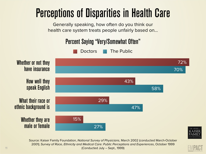### Perceptions of Disparities in Health Care

Generally speaking, how often do you think our health care system treats people unfairly based on…

#### Percent Saying "Very/Somewhat Often"



Doctors The Public





**EMPACT** 

Source: Kaiser Family Foundation, *National Survey of Physicians*, March 2002 (conducted March-October 2001); *Survey of Race, Ethnicity and Medical Care: Public Perceptions and Experiences*, October 1999 (Conducted July – Sept., 1999)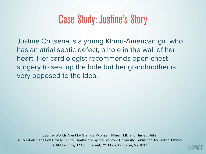### Case Study: Justine's Story

Justine Chitsena is a young Khmu-American girl who has an atrial septic defect, a hole in the wall of her heart. Her cardiologist recommends open chest surgery to seal up the hole but her grandmother is very opposed to the idea.

Source: Worlds Apart by Grainger-Monsen, Maren, MD and Haslett, Julia. A Four-Part Series on Cross-Cultural Healthcare by the Stanford University Center for Biomedical Ethnics ICARUS Films, 32 Court Street, 21st Floor, Brooklyn, NY 11201

**EMPACT**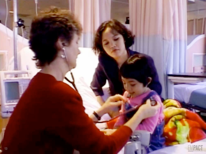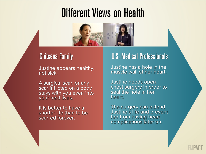### Different Views on Health



#### Chitsena Family

Justine appears healthy, not sick.

A surgical scar, or any scar inflicted on a body stays with you even into your next lives.

It is better to have a shorter life than to be scarred forever.

#### U.S. Medical Professionals

Justine has a hole in the muscle wall of her heart.

Justine needs open chest surgery in order to seal the hole in her heart.

The surgery can extend Justine's life and prevent her from having heart complications later on.

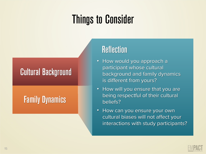### Things to Consider

#### Cultural Background

#### **Family Dynamics**

#### Reflection

- How would you approach a participant whose cultural background and family dynamics is different from yours?
- How will you ensure that you are being respectful of their cultural beliefs?
- How can you ensure your own cultural biases will not affect your interactions with study participants?

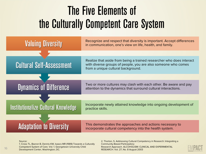### The Five Elements of the Culturally Competent Care System



Source:

1. Cross TL, Bazron B, Dennis KW, Isaacs MR (1989) Towards a Culturally Competent System of Care. Vol. 1. Georgetown University Child Development Center, Washington, DC.

Competent System of Care. Vol. 1. Georgetown University Child<br>Development Center, Washington, DC. RESEARCH. Vol. 27, No. 8 August 2003 2. Thorton, S. Addressing Cultural Competency in Research: Integrating a Community-Based Participatory RESEARCH. Vol. 27, No. 8 August 2003

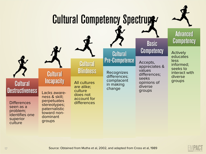

### Cultural Competency Spectrum



**Cultural** Destructiveness

**Differences** seen as a problem; identifies one superior culture

Lacks awareness & skill; perpetuates stereotypes; paternalistic toward nondominant groups

**Cultural** 

**Incapacity** 

**Cultural Blindness** 

All cultures are alike; culture does not account for differences

#### **Cultural** Pre-Competence

Recognizes differences; complacent in making change

#### Basic **Competency**

Accepts, appreciates & values differences; seeks opinions of diverse groups

#### Advanced **Competency**

**Actively** educates less informed; seeks to interact with diverse groups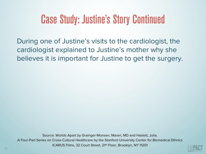### Case Study: Justine's Story Continued

During one of Justine's visits to the cardiologist, the cardiologist explained to Justine's mother why she believes it is important for Justine to get the surgery.

Source: Worlds Apart by Grainger-Monsen, Maren, MD and Haslett, Julia. A Four-Part Series on Cross-Cultural Healthcare by the Stanford University Center for Biomedical Ethnics ICARUS Films, 32 Court Street, 21st Floor, Brooklyn, NY 11201

**EMPACT**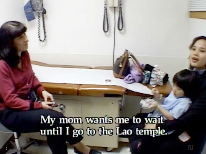# My mom wants me to wait<br>until I go to the Lao temple.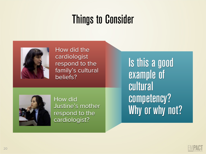### Things to Consider



How did the cardiologist respond to the family's cultural beliefs?

Is this a good example of cultural competency? Why or why not?



How did Justine's mother respond to the cardiologist?

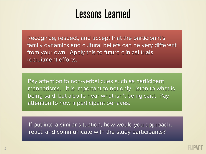#### Lessons Learned

Recognize, respect, and accept that the participant's family dynamics and cultural beliefs can be very different from your own. Apply this to future clinical trials recruitment efforts.

Pay attention to non-verbal cues such as participant mannerisms. It is important to not only listen to what is being said, but also to hear what isn't being said. Pay attention to how a participant behaves.

If put into a similar situation, how would you approach, react, and communicate with the study participants?

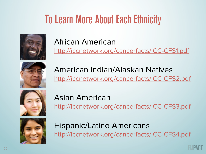### To Learn More About Each Ethnicity



African American <http://iccnetwork.org/cancerfacts/ICC-CFS1.pdf>



American Indian/Alaskan Natives <http://iccnetwork.org/cancerfacts/ICC-CFS2.pdf>



Asian American <http://iccnetwork.org/cancerfacts/ICC-CFS3.pdf>



Hispanic/Latino Americans <http://iccnetwork.org/cancerfacts/ICC-CFS4.pdf>